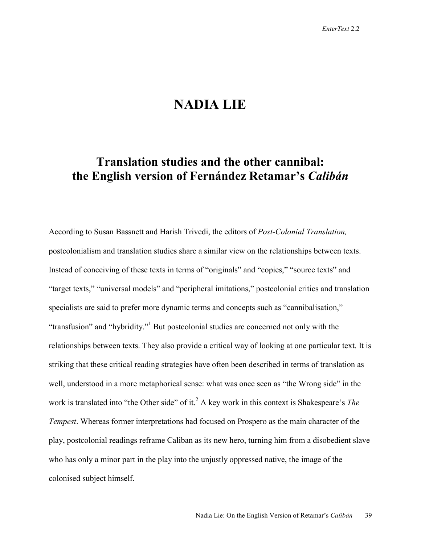## **NADIA LIE**

## **Translation studies and the other cannibal: the English version of Fernández Retamar's** *Calibán*

According to Susan Bassnett and Harish Trivedi, the editors of *Post-Colonial Translation,* postcolonialism and translation studies share a similar view on the relationships between texts. Instead of conceiving of these texts in terms of "originals" and "copies," "source texts" and "target texts," "universal models" and "peripheral imitations," postcolonial critics and translation specialists are said to prefer more dynamic terms and concepts such as "cannibalisation," "transfusion" and "hybridity."<sup>1</sup> But postcolonial studies are concerned not only with the relationships between texts. They also provide a critical way of looking at one particular text. It is striking that these critical reading strategies have often been described in terms of translation as well, understood in a more metaphorical sense: what was once seen as "the Wrong side" in the work is translated into "the Other side" of it.<sup>2</sup> A key work in this context is Shakespeare's *The Tempest*. Whereas former interpretations had focused on Prospero as the main character of the play, postcolonial readings reframe Caliban as its new hero, turning him from a disobedient slave who has only a minor part in the play into the unjustly oppressed native, the image of the colonised subject himself.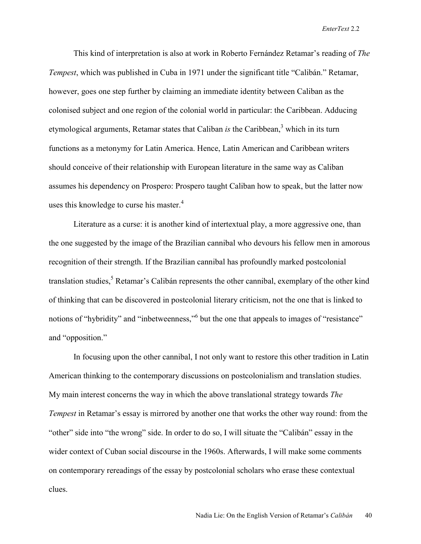This kind of interpretation is also at work in Roberto Fernández Retamar's reading of *The Tempest*, which was published in Cuba in 1971 under the significant title "Calibán." Retamar, however, goes one step further by claiming an immediate identity between Caliban as the colonised subject and one region of the colonial world in particular: the Caribbean. Adducing etymological arguments, Retamar states that Caliban *is* the Caribbean,<sup>3</sup> which in its turn functions as a metonymy for Latin America. Hence, Latin American and Caribbean writers should conceive of their relationship with European literature in the same way as Caliban assumes his dependency on Prospero: Prospero taught Caliban how to speak, but the latter now uses this knowledge to curse his master. $4$ 

Literature as a curse: it is another kind of intertextual play, a more aggressive one, than the one suggested by the image of the Brazilian cannibal who devours his fellow men in amorous recognition of their strength. If the Brazilian cannibal has profoundly marked postcolonial translation studies,<sup>5</sup> Retamar's Calibán represents the other cannibal, exemplary of the other kind of thinking that can be discovered in postcolonial literary criticism, not the one that is linked to notions of "hybridity" and "inbetweenness," but the one that appeals to images of "resistance" and "opposition."

In focusing upon the other cannibal, I not only want to restore this other tradition in Latin American thinking to the contemporary discussions on postcolonialism and translation studies. My main interest concerns the way in which the above translational strategy towards *The Tempest* in Retamar's essay is mirrored by another one that works the other way round: from the "other" side into "the wrong" side. In order to do so, I will situate the "Calibán" essay in the wider context of Cuban social discourse in the 1960s. Afterwards, I will make some comments on contemporary rereadings of the essay by postcolonial scholars who erase these contextual clues.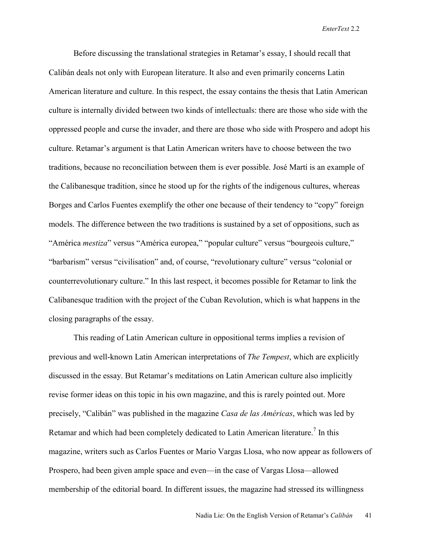Before discussing the translational strategies in Retamar's essay, I should recall that Calibán deals not only with European literature. It also and even primarily concerns Latin American literature and culture. In this respect, the essay contains the thesis that Latin American culture is internally divided between two kinds of intellectuals: there are those who side with the oppressed people and curse the invader, and there are those who side with Prospero and adopt his culture. Retamar's argument is that Latin American writers have to choose between the two traditions, because no reconciliation between them is ever possible. José Martí is an example of the Calibanesque tradition, since he stood up for the rights of the indigenous cultures, whereas Borges and Carlos Fuentes exemplify the other one because of their tendency to "copy" foreign models. The difference between the two traditions is sustained by a set of oppositions, such as "América *mestiza*" versus "América europea," "popular culture" versus "bourgeois culture," "barbarism" versus "civilisation" and, of course, "revolutionary culture" versus "colonial or counterrevolutionary culture." In this last respect, it becomes possible for Retamar to link the Calibanesque tradition with the project of the Cuban Revolution, which is what happens in the closing paragraphs of the essay.

This reading of Latin American culture in oppositional terms implies a revision of previous and well-known Latin American interpretations of *The Tempest*, which are explicitly discussed in the essay. But Retamar's meditations on Latin American culture also implicitly revise former ideas on this topic in his own magazine, and this is rarely pointed out. More precisely, "Calibán" was published in the magazine *Casa de las Américas*, which was led by Retamar and which had been completely dedicated to Latin American literature.<sup>7</sup> In this magazine, writers such as Carlos Fuentes or Mario Vargas Llosa, who now appear as followers of Prospero, had been given ample space and even—in the case of Vargas Llosa—allowed membership of the editorial board. In different issues, the magazine had stressed its willingness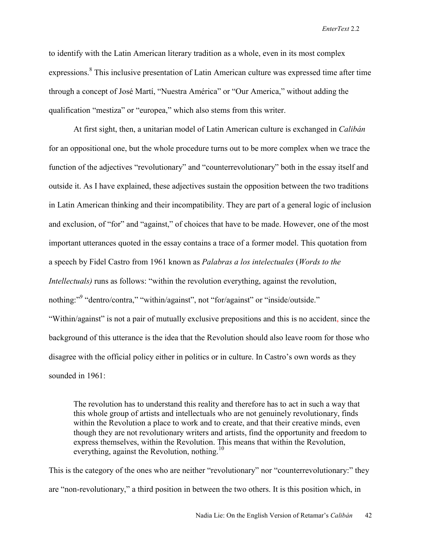to identify with the Latin American literary tradition as a whole, even in its most complex expressions.<sup>8</sup> This inclusive presentation of Latin American culture was expressed time after time through a concept of José Martí, "Nuestra América" or "Our America," without adding the qualification "mestiza" or "europea," which also stems from this writer.

At first sight, then, a unitarian model of Latin American culture is exchanged in *Calibán* for an oppositional one, but the whole procedure turns out to be more complex when we trace the function of the adjectives "revolutionary" and "counterrevolutionary" both in the essay itself and outside it. As I have explained, these adjectives sustain the opposition between the two traditions in Latin American thinking and their incompatibility. They are part of a general logic of inclusion and exclusion, of "for" and "against," of choices that have to be made. However, one of the most important utterances quoted in the essay contains a trace of a former model. This quotation from a speech by Fidel Castro from 1961 known as *Palabras a los intelectuales* (*Words to the Intellectuals*) runs as follows: "within the revolution everything, against the revolution, nothing:"<sup>9</sup> "dentro/contra," "within/against", not "for/against" or "inside/outside." "Within/against" is not a pair of mutually exclusive prepositions and this is no accident, since the background of this utterance is the idea that the Revolution should also leave room for those who disagree with the official policy either in politics or in culture. In Castro's own words as they sounded in 1961:

The revolution has to understand this reality and therefore has to act in such a way that this whole group of artists and intellectuals who are not genuinely revolutionary, finds within the Revolution a place to work and to create, and that their creative minds, even though they are not revolutionary writers and artists, find the opportunity and freedom to express themselves, within the Revolution. This means that within the Revolution, everything, against the Revolution, nothing.<sup>10</sup>

This is the category of the ones who are neither "revolutionary" nor "counterrevolutionary:" they are "non-revolutionary," a third position in between the two others. It is this position which, in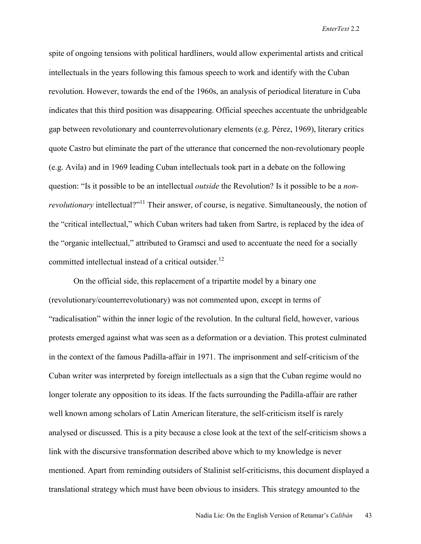spite of ongoing tensions with political hardliners, would allow experimental artists and critical intellectuals in the years following this famous speech to work and identify with the Cuban revolution. However, towards the end of the 1960s, an analysis of periodical literature in Cuba indicates that this third position was disappearing. Official speeches accentuate the unbridgeable gap between revolutionary and counterrevolutionary elements (e.g. Pérez, 1969), literary critics quote Castro but eliminate the part of the utterance that concerned the non-revolutionary people (e.g. Avila) and in 1969 leading Cuban intellectuals took part in a debate on the following question: "Is it possible to be an intellectual *outside* the Revolution? Is it possible to be a *nonrevolutionary* intellectual?"<sup>11</sup> Their answer, of course, is negative. Simultaneously, the notion of the "critical intellectual," which Cuban writers had taken from Sartre, is replaced by the idea of the "organic intellectual," attributed to Gramsci and used to accentuate the need for a socially committed intellectual instead of a critical outsider.<sup>12</sup>

On the official side, this replacement of a tripartite model by a binary one (revolutionary/counterrevolutionary) was not commented upon, except in terms of "radicalisation" within the inner logic of the revolution. In the cultural field, however, various protests emerged against what was seen as a deformation or a deviation. This protest culminated in the context of the famous Padilla-affair in 1971. The imprisonment and self-criticism of the Cuban writer was interpreted by foreign intellectuals as a sign that the Cuban regime would no longer tolerate any opposition to its ideas. If the facts surrounding the Padilla-affair are rather well known among scholars of Latin American literature, the self-criticism itself is rarely analysed or discussed. This is a pity because a close look at the text of the self-criticism shows a link with the discursive transformation described above which to my knowledge is never mentioned. Apart from reminding outsiders of Stalinist self-criticisms, this document displayed a translational strategy which must have been obvious to insiders. This strategy amounted to the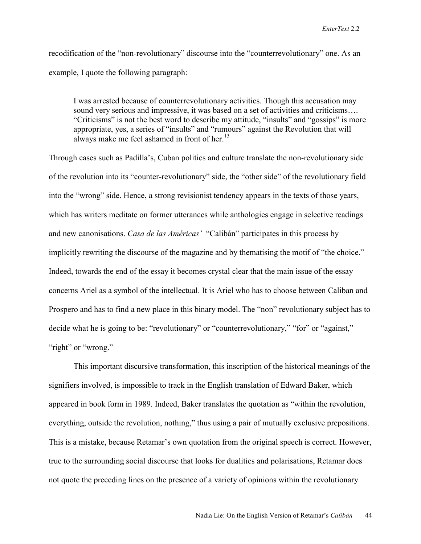recodification of the "non-revolutionary" discourse into the "counterrevolutionary" one. As an example, I quote the following paragraph:

I was arrested because of counterrevolutionary activities. Though this accusation may sound very serious and impressive, it was based on a set of activities and criticisms…. "Criticisms" is not the best word to describe my attitude, "insults" and "gossips" is more appropriate, yes, a series of "insults" and "rumours" against the Revolution that will always make me feel ashamed in front of her.<sup>13</sup>

Through cases such as Padilla's, Cuban politics and culture translate the non-revolutionary side of the revolution into its "counter-revolutionary" side, the "other side" of the revolutionary field into the "wrong" side. Hence, a strong revisionist tendency appears in the texts of those years, which has writers meditate on former utterances while anthologies engage in selective readings and new canonisations. *Casa de las Américas'* "Calibán" participates in this process by implicitly rewriting the discourse of the magazine and by thematising the motif of "the choice." Indeed, towards the end of the essay it becomes crystal clear that the main issue of the essay concerns Ariel as a symbol of the intellectual. It is Ariel who has to choose between Caliban and Prospero and has to find a new place in this binary model. The "non" revolutionary subject has to decide what he is going to be: "revolutionary" or "counterrevolutionary," "for" or "against," "right" or "wrong."

This important discursive transformation, this inscription of the historical meanings of the signifiers involved, is impossible to track in the English translation of Edward Baker, which appeared in book form in 1989. Indeed, Baker translates the quotation as "within the revolution, everything, outside the revolution, nothing," thus using a pair of mutually exclusive prepositions. This is a mistake, because Retamar's own quotation from the original speech is correct. However, true to the surrounding social discourse that looks for dualities and polarisations, Retamar does not quote the preceding lines on the presence of a variety of opinions within the revolutionary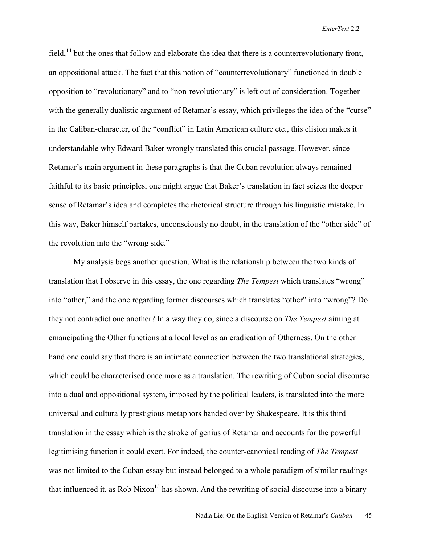field,<sup>14</sup> but the ones that follow and elaborate the idea that there is a counterrevolutionary front, an oppositional attack. The fact that this notion of "counterrevolutionary" functioned in double opposition to "revolutionary" and to "non-revolutionary" is left out of consideration. Together with the generally dualistic argument of Retamar's essay, which privileges the idea of the "curse" in the Caliban-character, of the "conflict" in Latin American culture etc., this elision makes it understandable why Edward Baker wrongly translated this crucial passage. However, since Retamar's main argument in these paragraphs is that the Cuban revolution always remained faithful to its basic principles, one might argue that Baker's translation in fact seizes the deeper sense of Retamar's idea and completes the rhetorical structure through his linguistic mistake. In this way, Baker himself partakes, unconsciously no doubt, in the translation of the "other side" of the revolution into the "wrong side."

My analysis begs another question. What is the relationship between the two kinds of translation that I observe in this essay, the one regarding *The Tempest* which translates "wrong" into "other," and the one regarding former discourses which translates "other" into "wrong"? Do they not contradict one another? In a way they do, since a discourse on *The Tempest* aiming at emancipating the Other functions at a local level as an eradication of Otherness. On the other hand one could say that there is an intimate connection between the two translational strategies, which could be characterised once more as a translation. The rewriting of Cuban social discourse into a dual and oppositional system, imposed by the political leaders, is translated into the more universal and culturally prestigious metaphors handed over by Shakespeare. It is this third translation in the essay which is the stroke of genius of Retamar and accounts for the powerful legitimising function it could exert. For indeed, the counter-canonical reading of *The Tempest*  was not limited to the Cuban essay but instead belonged to a whole paradigm of similar readings that influenced it, as Rob Nixon<sup>15</sup> has shown. And the rewriting of social discourse into a binary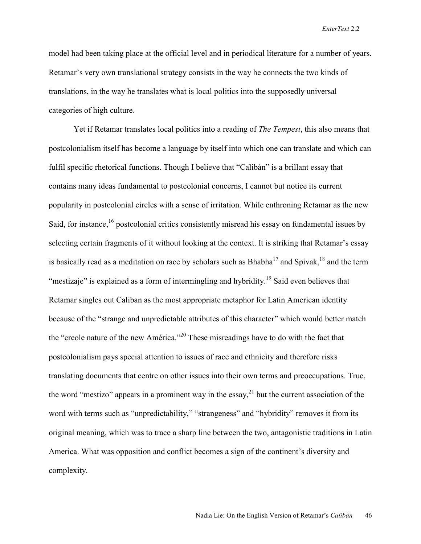model had been taking place at the official level and in periodical literature for a number of years. Retamar's very own translational strategy consists in the way he connects the two kinds of translations, in the way he translates what is local politics into the supposedly universal categories of high culture.

Yet if Retamar translates local politics into a reading of *The Tempest*, this also means that postcolonialism itself has become a language by itself into which one can translate and which can fulfil specific rhetorical functions. Though I believe that "Calibán" is a brillant essay that contains many ideas fundamental to postcolonial concerns, I cannot but notice its current popularity in postcolonial circles with a sense of irritation. While enthroning Retamar as the new Said, for instance,<sup>16</sup> postcolonial critics consistently misread his essay on fundamental issues by selecting certain fragments of it without looking at the context. It is striking that Retamar's essay is basically read as a meditation on race by scholars such as  $Bhabha<sup>17</sup>$  and Spivak,  $18$  and the term "mestizaje" is explained as a form of intermingling and hybridity.<sup>19</sup> Said even believes that Retamar singles out Caliban as the most appropriate metaphor for Latin American identity because of the "strange and unpredictable attributes of this character" which would better match the "creole nature of the new América."<sup>20</sup> These misreadings have to do with the fact that postcolonialism pays special attention to issues of race and ethnicity and therefore risks translating documents that centre on other issues into their own terms and preoccupations. True, the word "mestizo" appears in a prominent way in the essay,<sup>21</sup> but the current association of the word with terms such as "unpredictability," "strangeness" and "hybridity" removes it from its original meaning, which was to trace a sharp line between the two, antagonistic traditions in Latin America. What was opposition and conflict becomes a sign of the continent's diversity and complexity.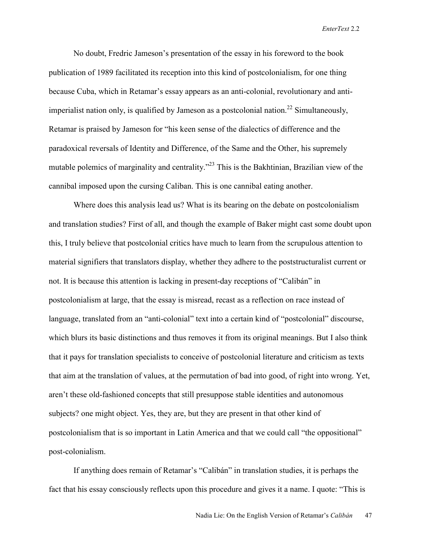No doubt, Fredric Jameson's presentation of the essay in his foreword to the book publication of 1989 facilitated its reception into this kind of postcolonialism, for one thing because Cuba, which in Retamar's essay appears as an anti-colonial, revolutionary and antiimperialist nation only, is qualified by Jameson as a postcolonial nation.<sup>22</sup> Simultaneously, Retamar is praised by Jameson for "his keen sense of the dialectics of difference and the paradoxical reversals of Identity and Difference, of the Same and the Other, his supremely mutable polemics of marginality and centrality.<sup>23</sup> This is the Bakhtinian, Brazilian view of the cannibal imposed upon the cursing Caliban. This is one cannibal eating another.

Where does this analysis lead us? What is its bearing on the debate on postcolonialism and translation studies? First of all, and though the example of Baker might cast some doubt upon this, I truly believe that postcolonial critics have much to learn from the scrupulous attention to material signifiers that translators display, whether they adhere to the poststructuralist current or not. It is because this attention is lacking in present-day receptions of "Calibán" in postcolonialism at large, that the essay is misread, recast as a reflection on race instead of language, translated from an "anti-colonial" text into a certain kind of "postcolonial" discourse, which blurs its basic distinctions and thus removes it from its original meanings. But I also think that it pays for translation specialists to conceive of postcolonial literature and criticism as texts that aim at the translation of values, at the permutation of bad into good, of right into wrong. Yet, aren't these old-fashioned concepts that still presuppose stable identities and autonomous subjects? one might object. Yes, they are, but they are present in that other kind of postcolonialism that is so important in Latin America and that we could call "the oppositional" post-colonialism.

If anything does remain of Retamar's "Calibán" in translation studies, it is perhaps the fact that his essay consciously reflects upon this procedure and gives it a name. I quote: "This is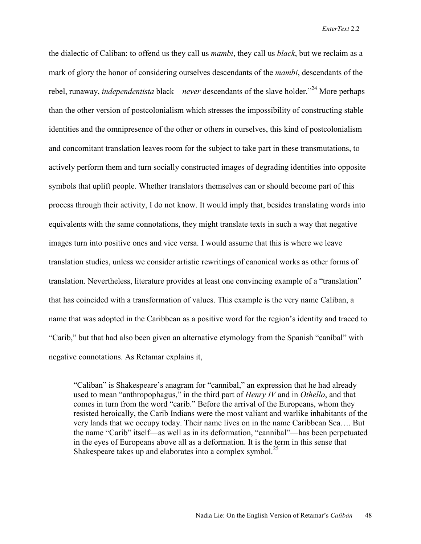the dialectic of Caliban: to offend us they call us *mambi*, they call us *black*, but we reclaim as a mark of glory the honor of considering ourselves descendants of the *mambi*, descendants of the rebel, runaway, *independentista* black—*never* descendants of the slave holder."24 More perhaps than the other version of postcolonialism which stresses the impossibility of constructing stable identities and the omnipresence of the other or others in ourselves, this kind of postcolonialism and concomitant translation leaves room for the subject to take part in these transmutations, to actively perform them and turn socially constructed images of degrading identities into opposite symbols that uplift people. Whether translators themselves can or should become part of this process through their activity, I do not know. It would imply that, besides translating words into equivalents with the same connotations, they might translate texts in such a way that negative images turn into positive ones and vice versa. I would assume that this is where we leave translation studies, unless we consider artistic rewritings of canonical works as other forms of translation. Nevertheless, literature provides at least one convincing example of a "translation" that has coincided with a transformation of values. This example is the very name Caliban, a name that was adopted in the Caribbean as a positive word for the region's identity and traced to "Carib," but that had also been given an alternative etymology from the Spanish "caníbal" with negative connotations. As Retamar explains it,

"Caliban" is Shakespeare's anagram for "cannibal," an expression that he had already used to mean "anthropophagus," in the third part of *Henry IV* and in *Othello*, and that comes in turn from the word "carib." Before the arrival of the Europeans, whom they resisted heroically, the Carib Indians were the most valiant and warlike inhabitants of the very lands that we occupy today. Their name lives on in the name Caribbean Sea…. But the name "Carib" itself—as well as in its deformation, "cannibal"—has been perpetuated in the eyes of Europeans above all as a deformation. It is the term in this sense that Shakespeare takes up and elaborates into a complex symbol.<sup>25</sup>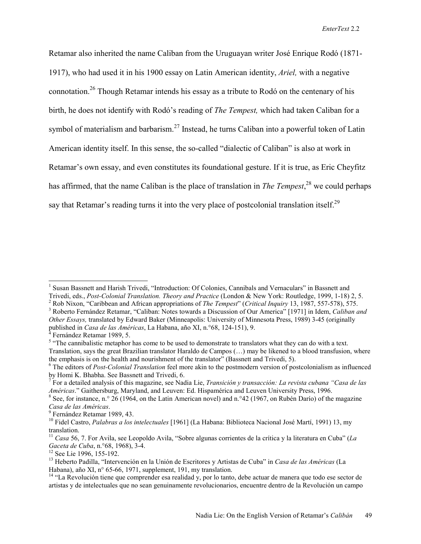Retamar also inherited the name Caliban from the Uruguayan writer José Enrique Rodó (1871- 1917), who had used it in his 1900 essay on Latin American identity, *Ariel,* with a negative connotation.<sup>26</sup> Though Retamar intends his essay as a tribute to Rodó on the centenary of his birth, he does not identify with Rodó's reading of *The Tempest,* which had taken Caliban for a symbol of materialism and barbarism.<sup>27</sup> Instead, he turns Caliban into a powerful token of Latin American identity itself. In this sense, the so-called "dialectic of Caliban" is also at work in Retamar's own essay, and even constitutes its foundational gesture. If it is true, as Eric Cheyfitz has affirmed, that the name Caliban is the place of translation in *The Tempest*, 28 we could perhaps say that Retamar's reading turns it into the very place of postcolonial translation itself.<sup>29</sup>

7 For a detailed analysis of this magazine, see Nadia Lie, *Transición y transacción: La revista cubana "Casa de las Américas*." Gaithersburg, Maryland, and Leuven: Ed. Hispamérica and Leuven University Press, 1996. 8

<sup>&</sup>lt;sup>1</sup> Susan Bassnett and Harish Trivedi, "Introduction: Of Colonies, Cannibals and Vernaculars" in Bassnett and Trivedi, eds., *Post-Colonial Translation. Theory and Practice* (London & New York: Routledge, 1999, 1-18) 2, 5. 2

<sup>&</sup>lt;sup>2</sup> Rob Nixon, "Caribbean and African appropriations of *The Tempest*" (*Critical Inquiry* 13, 1987, 557-578), 575. Roberto Fernández Retamar, "Caliban: Notes towards a Discussion of Our America" [1971] in Idem, *Caliban and Other Essays,* translated by Edward Baker (Minneapolis: University of Minnesota Press, 1989) 3-45 (originally published in *Casa de las Américas*, La Habana, año XI, n.°68, 124-151), 9. 4

Fernández Retamar 1989, 5.

<sup>&</sup>lt;sup>5</sup> "The cannibalistic metaphor has come to be used to demonstrate to translators what they can do with a text. Translation, says the great Brazilian translator Haraldo de Campos (…) may be likened to a blood transfusion, where the emphasis is on the health and nourishment of the translator<sup>3</sup> (Bassnett and Trivedi, 5).

<sup>6</sup> The editors of *Post-Colonial Translation* feel more akin to the postmodern version of postcolonialism as influenced by Homi K. Bhabha. See Bassnett and Trivedi, 6.

<sup>&</sup>lt;sup>8</sup> See, for instance, n.<sup>o</sup> 26 (1964, on the Latin American novel) and n.<sup>o</sup>42 (1967, on Rubén Darío) of the magazine *Casa de las Américas*. 9

<sup>&</sup>lt;sup>9</sup> Fernández Retamar 1989, 43.

<sup>10</sup> Fidel Castro, *Palabras a los intelectuales* [1961] (La Habana: Biblioteca Nacional José Martí, 1991) 13, my translation.

<sup>&</sup>lt;sup>11</sup> *Casa* 56, 7. For Avila, see Leopoldo Avila, "Sobre algunas corrientes de la crítica y la literatura en Cuba" (*La Gaceta de Cuba*, n.º68, 1968), 3-4.

<sup>&</sup>lt;sup>12</sup> See Lie 1996, 155-192.

<sup>13</sup> Heberto Padilla, "Intervención en la Unión de Escritores y Artistas de Cuba" in *Casa de las Américas* (La Habana), año XI, n° 65-66, 1971, supplement, 191, my translation.

<sup>&</sup>lt;sup>14</sup> "La Revolución tiene que comprender esa realidad y, por lo tanto, debe actuar de manera que todo ese sector de artistas y de intelectuales que no sean genuinamente revolucionarios, encuentre dentro de la Revolución un campo